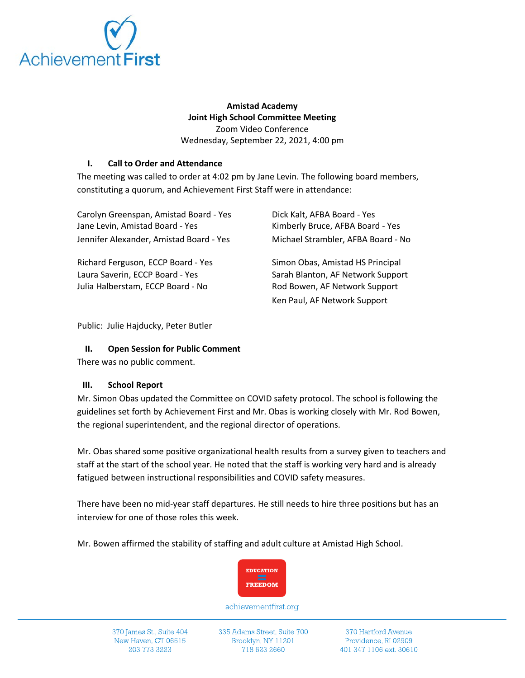

# **Amistad Academy Joint High School Committee Meeting** Zoom Video Conference

Wednesday, September 22, 2021, 4:00 pm

# **I. Call to Order and Attendance**

The meeting was called to order at 4:02 pm by Jane Levin. The following board members, constituting a quorum, and Achievement First Staff were in attendance:

| Carolyn Greenspan, Amistad Board - Yes  | Dick Kalt, AFBA Board - Yes        |
|-----------------------------------------|------------------------------------|
| Jane Levin, Amistad Board - Yes         | Kimberly Bruce, AFBA Board - Yes   |
| Jennifer Alexander, Amistad Board - Yes | Michael Strambler, AFBA Board - No |
| Richard Ferguson, ECCP Board - Yes      | Simon Obas, Amistad HS Principal   |
| Laura Saverin, ECCP Board - Yes         | Sarah Blanton, AF Network Support  |
| Julia Halberstam, ECCP Board - No       | Rod Bowen, AF Network Support      |

Public: Julie Hajducky, Peter Butler

## **II. Open Session for Public Comment**

There was no public comment.

## **III. School Report**

Mr. Simon Obas updated the Committee on COVID safety protocol. The school is following the guidelines set forth by Achievement First and Mr. Obas is working closely with Mr. Rod Bowen, the regional superintendent, and the regional director of operations.

Ken Paul, AF Network Support

Mr. Obas shared some positive organizational health results from a survey given to teachers and staff at the start of the school year. He noted that the staff is working very hard and is already fatigued between instructional responsibilities and COVID safety measures.

There have been no mid-year staff departures. He still needs to hire three positions but has an interview for one of those roles this week.

Mr. Bowen affirmed the stability of staffing and adult culture at Amistad High School.



achievementfirst.org

370 James St., Suite 404 New Haven, CT 06515 203 773 3223

335 Adams Street, Suite 700 Brooklyn, NY 11201 718 623 2660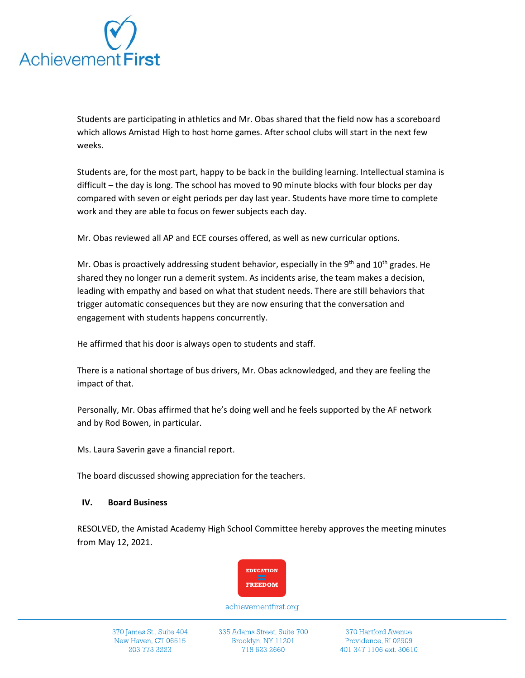

Students are participating in athletics and Mr. Obas shared that the field now has a scoreboard which allows Amistad High to host home games. After school clubs will start in the next few weeks.

Students are, for the most part, happy to be back in the building learning. Intellectual stamina is difficult – the day is long. The school has moved to 90 minute blocks with four blocks per day compared with seven or eight periods per day last year. Students have more time to complete work and they are able to focus on fewer subjects each day.

Mr. Obas reviewed all AP and ECE courses offered, as well as new curricular options.

Mr. Obas is proactively addressing student behavior, especially in the 9<sup>th</sup> and 10<sup>th</sup> grades. He shared they no longer run a demerit system. As incidents arise, the team makes a decision, leading with empathy and based on what that student needs. There are still behaviors that trigger automatic consequences but they are now ensuring that the conversation and engagement with students happens concurrently.

He affirmed that his door is always open to students and staff.

There is a national shortage of bus drivers, Mr. Obas acknowledged, and they are feeling the impact of that.

Personally, Mr. Obas affirmed that he's doing well and he feels supported by the AF network and by Rod Bowen, in particular.

Ms. Laura Saverin gave a financial report.

The board discussed showing appreciation for the teachers.

#### **IV. Board Business**

RESOLVED, the Amistad Academy High School Committee hereby approves the meeting minutes from May 12, 2021.



achievementfirst.org

335 Adams Street, Suite 700 Brooklyn, NY 11201 718 623 2660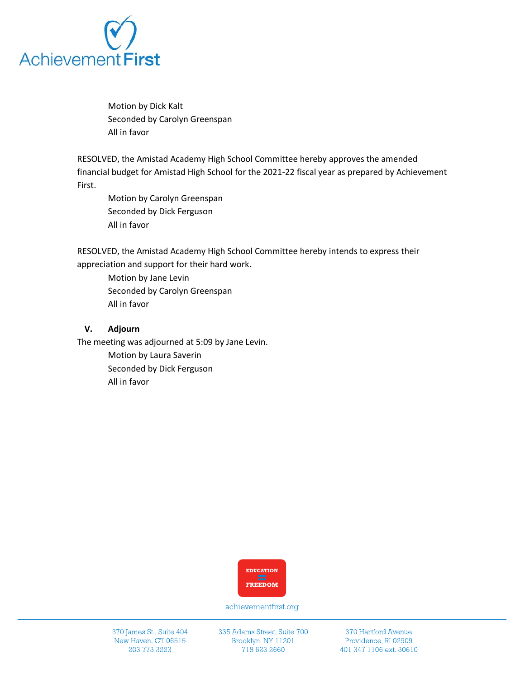

Motion by Dick Kalt Seconded by Carolyn Greenspan All in favor

RESOLVED, the Amistad Academy High School Committee hereby approves the amended financial budget for Amistad High School for the 2021-22 fiscal year as prepared by Achievement First.

Motion by Carolyn Greenspan Seconded by Dick Ferguson All in favor

RESOLVED, the Amistad Academy High School Committee hereby intends to express their appreciation and support for their hard work.

Motion by Jane Levin Seconded by Carolyn Greenspan All in favor

#### **V. Adjourn**

The meeting was adjourned at 5:09 by Jane Levin.

Motion by Laura Saverin Seconded by Dick Ferguson All in favor



achievementfirst.org

370 James St., Suite 404 New Haven, CT 06515 203 773 3223

335 Adams Street, Suite 700 Brooklyn, NY 11201 718 623 2660